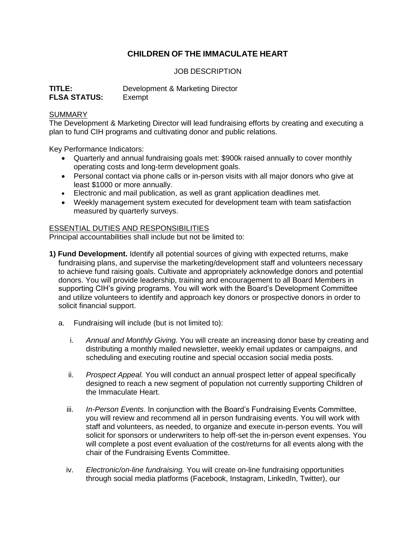# **CHILDREN OF THE IMMACULATE HEART**

## JOB DESCRIPTION

| TITLE:              | Development & Marketing Director |
|---------------------|----------------------------------|
| <b>FLSA STATUS:</b> | Exempt                           |

### **SUMMARY**

The Development & Marketing Director will lead fundraising efforts by creating and executing a plan to fund CIH programs and cultivating donor and public relations.

Key Performance Indicators:

- Quarterly and annual fundraising goals met: \$900k raised annually to cover monthly operating costs and long-term development goals.
- Personal contact via phone calls or in-person visits with all major donors who give at least \$1000 or more annually.
- Electronic and mail publication, as well as grant application deadlines met.
- Weekly management system executed for development team with team satisfaction measured by quarterly surveys.

### ESSENTIAL DUTIES AND RESPONSIBILITIES

Principal accountabilities shall include but not be limited to:

- **1) Fund Development.** Identify all potential sources of giving with expected returns, make fundraising plans, and supervise the marketing/development staff and volunteers necessary to achieve fund raising goals. Cultivate and appropriately acknowledge donors and potential donors. You will provide leadership, training and encouragement to all Board Members in supporting CIH's giving programs. You will work with the Board's Development Committee and utilize volunteers to identify and approach key donors or prospective donors in order to solicit financial support.
	- a. Fundraising will include (but is not limited to):
		- i. *Annual and Monthly Giving.* You will create an increasing donor base by creating and distributing a monthly mailed newsletter, weekly email updates or campaigns, and scheduling and executing routine and special occasion social media posts.
		- ii. *Prospect Appeal.* You will *c*onduct an annual prospect letter of appeal specifically designed to reach a new segment of population not currently supporting Children of the Immaculate Heart.
		- iii. *In-Person Events.* In conjunction with the Board's Fundraising Events Committee, you will review and recommend all in person fundraising events. You will work with staff and volunteers, as needed, to organize and execute in-person events. You will solicit for sponsors or underwriters to help off-set the in-person event expenses. You will complete a post event evaluation of the cost/returns for all events along with the chair of the Fundraising Events Committee.
		- iv. *Electronic/on-line fundraising.* You will create on-line fundraising opportunities through social media platforms (Facebook, Instagram, LinkedIn, Twitter), our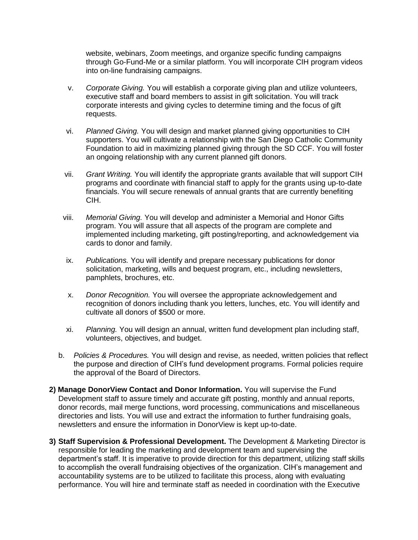website, webinars, Zoom meetings, and organize specific funding campaigns through Go-Fund-Me or a similar platform. You will incorporate CIH program videos into on-line fundraising campaigns.

- v. *Corporate Giving.* You will establish a corporate giving plan and utilize volunteers, executive staff and board members to assist in gift solicitation. You will track corporate interests and giving cycles to determine timing and the focus of gift requests.
- vi. *Planned Giving.* You will design and market planned giving opportunities to CIH supporters. You will cultivate a relationship with the San Diego Catholic Community Foundation to aid in maximizing planned giving through the SD CCF. You will foster an ongoing relationship with any current planned gift donors.
- vii. *Grant Writing.* You will identify the appropriate grants available that will support CIH programs and coordinate with financial staff to apply for the grants using up-to-date financials. You will secure renewals of annual grants that are currently benefiting CIH.
- viii. *Memorial Giving.* You will develop and administer a Memorial and Honor Gifts program. You will assure that all aspects of the program are complete and implemented including marketing, gift posting/reporting, and acknowledgement via cards to donor and family.
- ix. *Publications.* You will identify and prepare necessary publications for donor solicitation, marketing, wills and bequest program, etc., including newsletters, pamphlets, brochures, etc.
- x. *Donor Recognition.* You will oversee the appropriate acknowledgement and recognition of donors including thank you letters, lunches, etc. You will identify and cultivate all donors of \$500 or more.
- xi. *Planning.* You will design an annual, written fund development plan including staff, volunteers, objectives, and budget.
- b. *Policies & Procedures.* You will design and revise, as needed, written policies that reflect the purpose and direction of CIH's fund development programs. Formal policies require the approval of the Board of Directors.
- **2) Manage DonorView Contact and Donor Information.** You will supervise the Fund Development staff to assure timely and accurate gift posting, monthly and annual reports, donor records, mail merge functions, word processing, communications and miscellaneous directories and lists. You will use and extract the information to further fundraising goals, newsletters and ensure the information in DonorView is kept up-to-date.
- **3) Staff Supervision & Professional Development.** The Development & Marketing Director is responsible for leading the marketing and development team and supervising the department's staff. It is imperative to provide direction for this department, utilizing staff skills to accomplish the overall fundraising objectives of the organization. CIH's management and accountability systems are to be utilized to facilitate this process, along with evaluating performance. You will hire and terminate staff as needed in coordination with the Executive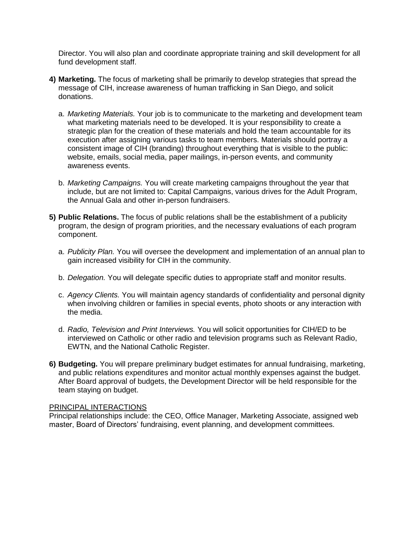Director. You will also plan and coordinate appropriate training and skill development for all fund development staff.

- **4) Marketing.** The focus of marketing shall be primarily to develop strategies that spread the message of CIH, increase awareness of human trafficking in San Diego, and solicit donations.
	- a. *Marketing Materials.* Your job is to communicate to the marketing and development team what marketing materials need to be developed. It is your responsibility to create a strategic plan for the creation of these materials and hold the team accountable for its execution after assigning various tasks to team members. Materials should portray a consistent image of CIH (branding) throughout everything that is visible to the public: website, emails, social media, paper mailings, in-person events, and community awareness events.
	- b. *Marketing Campaigns.* You will create marketing campaigns throughout the year that include, but are not limited to: Capital Campaigns, various drives for the Adult Program, the Annual Gala and other in-person fundraisers.
- **5) Public Relations.** The focus of public relations shall be the establishment of a publicity program, the design of program priorities, and the necessary evaluations of each program component.
	- a. *Publicity Plan.* You will oversee the development and implementation of an annual plan to gain increased visibility for CIH in the community.
	- b. *Delegation.* You will delegate specific duties to appropriate staff and monitor results.
	- c. *Agency Clients.* You will maintain agency standards of confidentiality and personal dignity when involving children or families in special events, photo shoots or any interaction with the media.
	- d. *Radio, Television and Print Interviews.* You will solicit opportunities for CIH/ED to be interviewed on Catholic or other radio and television programs such as Relevant Radio, EWTN, and the National Catholic Register.
- **6) Budgeting.** You will prepare preliminary budget estimates for annual fundraising, marketing, and public relations expenditures and monitor actual monthly expenses against the budget. After Board approval of budgets, the Development Director will be held responsible for the team staying on budget.

#### PRINCIPAL INTERACTIONS

Principal relationships include: the CEO, Office Manager, Marketing Associate, assigned web master, Board of Directors' fundraising, event planning, and development committees.